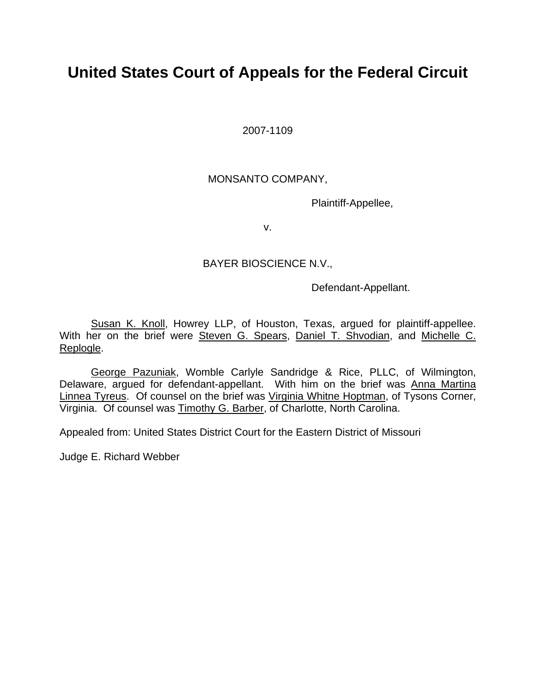# **United States Court of Appeals for the Federal Circuit**

2007-1109

## MONSANTO COMPANY,

Plaintiff-Appellee,

v.

## BAYER BIOSCIENCE N.V.,

Defendant-Appellant.

 Susan K. Knoll, Howrey LLP, of Houston, Texas, argued for plaintiff-appellee. With her on the brief were Steven G. Spears, Daniel T. Shvodian, and Michelle C. Replogle.

 George Pazuniak, Womble Carlyle Sandridge & Rice, PLLC, of Wilmington, Delaware, argued for defendant-appellant. With him on the brief was Anna Martina Linnea Tyreus. Of counsel on the brief was Virginia Whitne Hoptman, of Tysons Corner, Virginia. Of counsel was Timothy G. Barber, of Charlotte, North Carolina.

Appealed from: United States District Court for the Eastern District of Missouri

Judge E. Richard Webber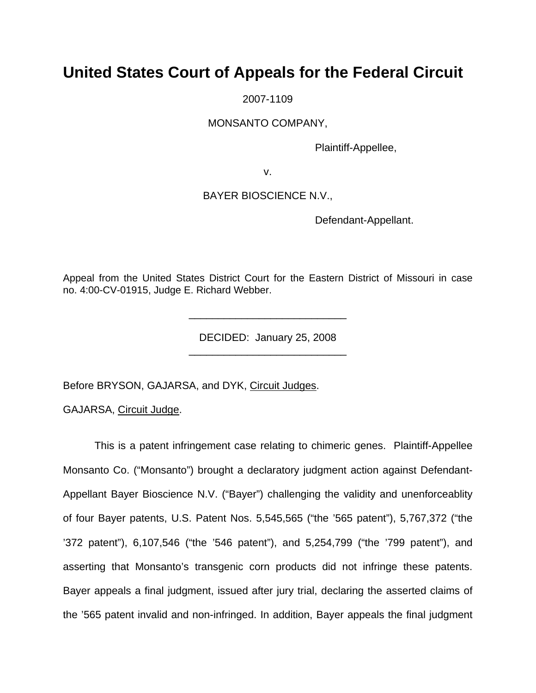# **United States Court of Appeals for the Federal Circuit**

2007-1109

MONSANTO COMPANY,

Plaintiff-Appellee,

v.

### BAYER BIOSCIENCE N.V.,

Defendant-Appellant.

Appeal from the United States District Court for the Eastern District of Missouri in case no. 4:00-CV-01915, Judge E. Richard Webber.

> DECIDED: January 25, 2008 \_\_\_\_\_\_\_\_\_\_\_\_\_\_\_\_\_\_\_\_\_\_\_\_\_\_\_

> \_\_\_\_\_\_\_\_\_\_\_\_\_\_\_\_\_\_\_\_\_\_\_\_\_\_\_

Before BRYSON, GAJARSA, and DYK, Circuit Judges.

GAJARSA, Circuit Judge.

This is a patent infringement case relating to chimeric genes. Plaintiff-Appellee Monsanto Co. ("Monsanto") brought a declaratory judgment action against Defendant-Appellant Bayer Bioscience N.V. ("Bayer") challenging the validity and unenforceablity of four Bayer patents, U.S. Patent Nos. 5,545,565 ("the '565 patent"), 5,767,372 ("the '372 patent"), 6,107,546 ("the '546 patent"), and 5,254,799 ("the '799 patent"), and asserting that Monsanto's transgenic corn products did not infringe these patents. Bayer appeals a final judgment, issued after jury trial, declaring the asserted claims of the '565 patent invalid and non-infringed. In addition, Bayer appeals the final judgment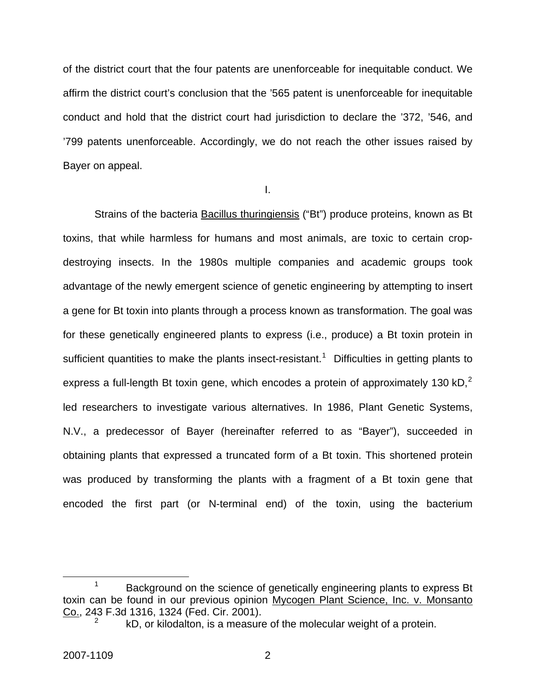of the district court that the four patents are unenforceable for inequitable conduct. We affirm the district court's conclusion that the '565 patent is unenforceable for inequitable conduct and hold that the district court had jurisdiction to declare the '372, '546, and '799 patents unenforceable. Accordingly, we do not reach the other issues raised by Bayer on appeal.

I.

Strains of the bacteria Bacillus thuringiensis ("Bt") produce proteins, known as Bt toxins, that while harmless for humans and most animals, are toxic to certain cropdestroying insects. In the 1980s multiple companies and academic groups took advantage of the newly emergent science of genetic engineering by attempting to insert a gene for Bt toxin into plants through a process known as transformation. The goal was for these genetically engineered plants to express (i.e., produce) a Bt toxin protein in sufficient quantities to make the plants insect-resistant.<sup>[1](#page-2-0)</sup> Difficulties in getting plants to express a full-length Bt toxin gene, which encodes a protein of approximately 130 kD. $^{2}$  $^{2}$  $^{2}$ led researchers to investigate various alternatives. In 1986, Plant Genetic Systems, N.V., a predecessor of Bayer (hereinafter referred to as "Bayer"), succeeded in obtaining plants that expressed a truncated form of a Bt toxin. This shortened protein was produced by transforming the plants with a fragment of a Bt toxin gene that encoded the first part (or N-terminal end) of the toxin, using the bacterium

<span id="page-2-1"></span><span id="page-2-0"></span> <sup>1</sup>  $1 -$ Background on the science of genetically engineering plants to express Bt toxin can be found in our previous opinion Mycogen Plant Science, Inc. v. Monsanto Co., 243 F.3d 1316, 1324 (Fed. Cir. 2001). 2

kD, or kilodalton, is a measure of the molecular weight of a protein.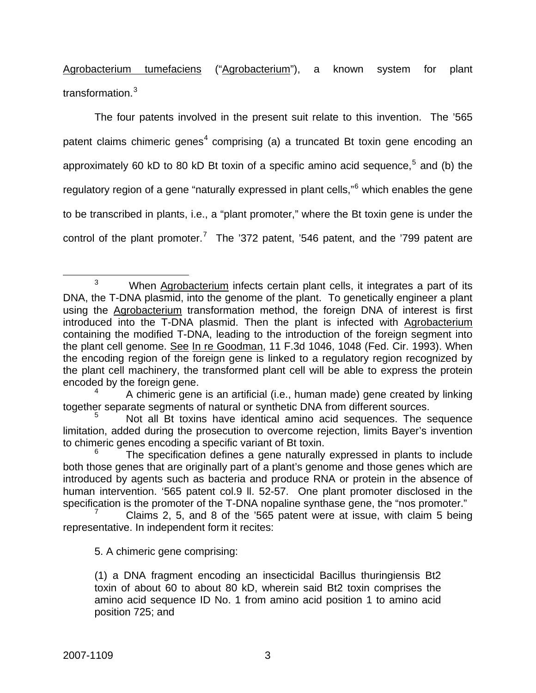Agrobacterium tumefaciens ("Agrobacterium"), a known system for plant transformation.<sup>[3](#page-3-0)</sup>

The four patents involved in the present suit relate to this invention. The '565 patent claims chimeric genes<sup>[4](#page-3-1)</sup> comprising (a) a truncated Bt toxin gene encoding an approximately 60 kD to 80 kD Bt toxin of a specific amino acid sequence,<sup>[5](#page-3-2)</sup> and (b) the regulatory region of a gene "naturally expressed in plant cells,"<sup>[6](#page-3-3)</sup> which enables the gene to be transcribed in plants, i.e., a "plant promoter," where the Bt toxin gene is under the control of the plant promoter.<sup>[7](#page-3-4)</sup> The '372 patent, '546 patent, and the '799 patent are

<span id="page-3-0"></span> $\overline{\phantom{a}}$  3  $3$  When Agrobacterium infects certain plant cells, it integrates a part of its DNA, the T-DNA plasmid, into the genome of the plant. To genetically engineer a plant using the Agrobacterium transformation method, the foreign DNA of interest is first introduced into the T-DNA plasmid. Then the plant is infected with Agrobacterium containing the modified T-DNA, leading to the introduction of the foreign segment into the plant cell genome. See In re Goodman, 11 F.3d 1046, 1048 (Fed. Cir. 1993). When the encoding region of the foreign gene is linked to a regulatory region recognized by the plant cell machinery, the transformed plant cell will be able to express the protein encoded by the foreign gene.

<span id="page-3-1"></span><sup>4</sup> A chimeric gene is an artificial (i.e., human made) gene created by linking together separate segments of natural or synthetic DNA from different sources.

<span id="page-3-2"></span><sup>5</sup> Not all Bt toxins have identical amino acid sequences. The sequence limitation, added during the prosecution to overcome rejection, limits Bayer's invention to chimeric genes encoding a specific variant of Bt toxin.

<span id="page-3-3"></span><sup>6</sup> The specification defines a gene naturally expressed in plants to include both those genes that are originally part of a plant's genome and those genes which are introduced by agents such as bacteria and produce RNA or protein in the absence of human intervention. '565 patent col.9 ll. 52-57. One plant promoter disclosed in the specification is the promoter of the T-DNA nopaline synthase gene, the "nos promoter."

<span id="page-3-4"></span><sup>7</sup> Claims 2, 5, and 8 of the '565 patent were at issue, with claim 5 being representative. In independent form it recites:

<sup>5.</sup> A chimeric gene comprising:

<sup>(1)</sup> a DNA fragment encoding an insecticidal Bacillus thuringiensis Bt2 toxin of about 60 to about 80 kD, wherein said Bt2 toxin comprises the amino acid sequence ID No. 1 from amino acid position 1 to amino acid position 725; and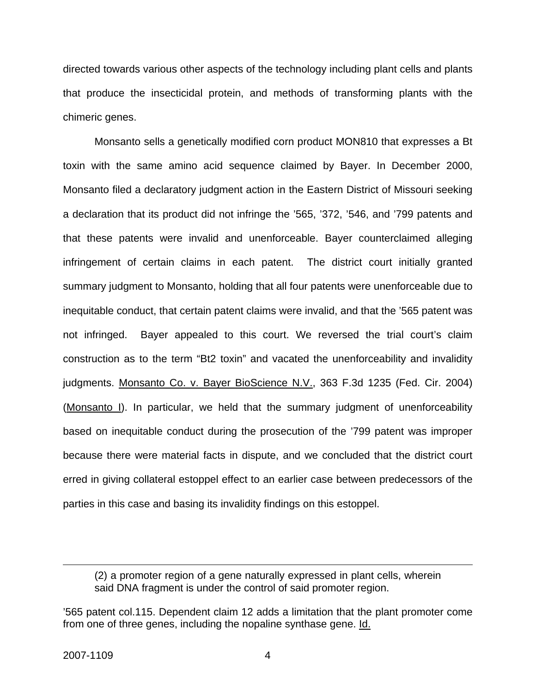directed towards various other aspects of the technology including plant cells and plants that produce the insecticidal protein, and methods of transforming plants with the chimeric genes.

Monsanto sells a genetically modified corn product MON810 that expresses a Bt toxin with the same amino acid sequence claimed by Bayer. In December 2000, Monsanto filed a declaratory judgment action in the Eastern District of Missouri seeking a declaration that its product did not infringe the '565, '372, '546, and '799 patents and that these patents were invalid and unenforceable. Bayer counterclaimed alleging infringement of certain claims in each patent. The district court initially granted summary judgment to Monsanto, holding that all four patents were unenforceable due to inequitable conduct, that certain patent claims were invalid, and that the '565 patent was not infringed. Bayer appealed to this court. We reversed the trial court's claim construction as to the term "Bt2 toxin" and vacated the unenforceability and invalidity judgments. Monsanto Co. v. Bayer BioScience N.V., 363 F.3d 1235 (Fed. Cir. 2004) (Monsanto I). In particular, we held that the summary judgment of unenforceability based on inequitable conduct during the prosecution of the '799 patent was improper because there were material facts in dispute, and we concluded that the district court erred in giving collateral estoppel effect to an earlier case between predecessors of the parties in this case and basing its invalidity findings on this estoppel.

 $\overline{a}$ 

<sup>(2)</sup> a promoter region of a gene naturally expressed in plant cells, wherein said DNA fragment is under the control of said promoter region.

<sup>&#</sup>x27;565 patent col.115. Dependent claim 12 adds a limitation that the plant promoter come from one of three genes, including the nopaline synthase gene. Id.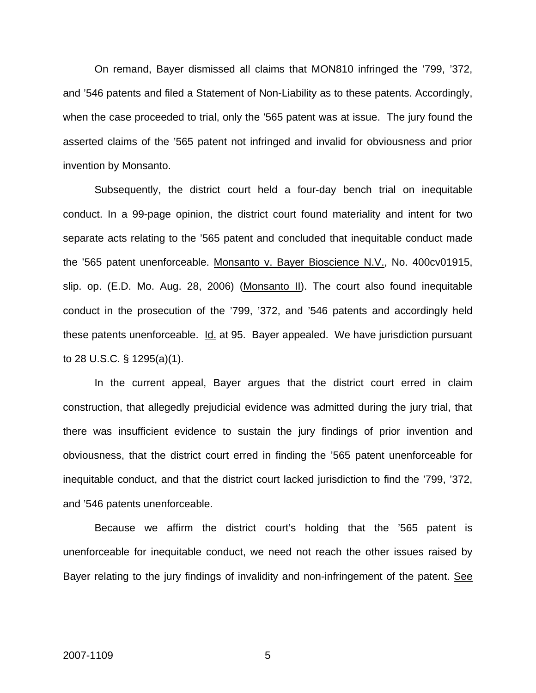On remand, Bayer dismissed all claims that MON810 infringed the '799, '372, and '546 patents and filed a Statement of Non-Liability as to these patents. Accordingly, when the case proceeded to trial, only the '565 patent was at issue. The jury found the asserted claims of the '565 patent not infringed and invalid for obviousness and prior invention by Monsanto.

Subsequently, the district court held a four-day bench trial on inequitable conduct. In a 99-page opinion, the district court found materiality and intent for two separate acts relating to the '565 patent and concluded that inequitable conduct made the '565 patent unenforceable. Monsanto v. Bayer Bioscience N.V., No. 400cv01915, slip. op. (E.D. Mo. Aug. 28, 2006) (Monsanto II). The court also found inequitable conduct in the prosecution of the '799, '372, and '546 patents and accordingly held these patents unenforceable. Id. at 95. Bayer appealed. We have jurisdiction pursuant to 28 U.S.C. § 1295(a)(1).

In the current appeal, Bayer argues that the district court erred in claim construction, that allegedly prejudicial evidence was admitted during the jury trial, that there was insufficient evidence to sustain the jury findings of prior invention and obviousness, that the district court erred in finding the '565 patent unenforceable for inequitable conduct, and that the district court lacked jurisdiction to find the '799, '372, and '546 patents unenforceable.

Because we affirm the district court's holding that the '565 patent is unenforceable for inequitable conduct, we need not reach the other issues raised by Bayer relating to the jury findings of invalidity and non-infringement of the patent. See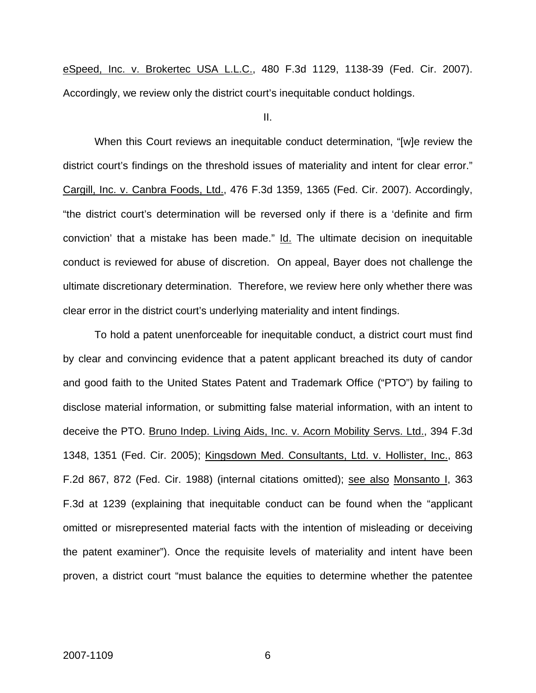eSpeed, Inc. v. Brokertec USA L.L.C., 480 F.3d 1129, 1138-39 (Fed. Cir. 2007). Accordingly, we review only the district court's inequitable conduct holdings.

II.

When this Court reviews an inequitable conduct determination, "[w]e review the district court's findings on the threshold issues of materiality and intent for clear error." Cargill, Inc. v. Canbra Foods, Ltd., 476 F.3d 1359, 1365 (Fed. Cir. 2007). Accordingly, "the district court's determination will be reversed only if there is a 'definite and firm conviction' that a mistake has been made." Id. The ultimate decision on inequitable conduct is reviewed for abuse of discretion. On appeal, Bayer does not challenge the ultimate discretionary determination. Therefore, we review here only whether there was clear error in the district court's underlying materiality and intent findings.

To hold a patent unenforceable for inequitable conduct, a district court must find by clear and convincing evidence that a patent applicant breached its duty of candor and good faith to the United States Patent and Trademark Office ("PTO") by failing to disclose material information, or submitting false material information, with an intent to deceive the PTO. Bruno Indep. Living Aids, Inc. v. Acorn Mobility Servs. Ltd., 394 F.3d 1348, 1351 (Fed. Cir. 2005); Kingsdown Med. Consultants, Ltd. v. Hollister, Inc., 863 F.2d 867, 872 (Fed. Cir. 1988) (internal citations omitted); see also Monsanto I, 363 F.3d at 1239 (explaining that inequitable conduct can be found when the "applicant omitted or misrepresented material facts with the intention of misleading or deceiving the patent examiner"). Once the requisite levels of materiality and intent have been proven, a district court "must balance the equities to determine whether the patentee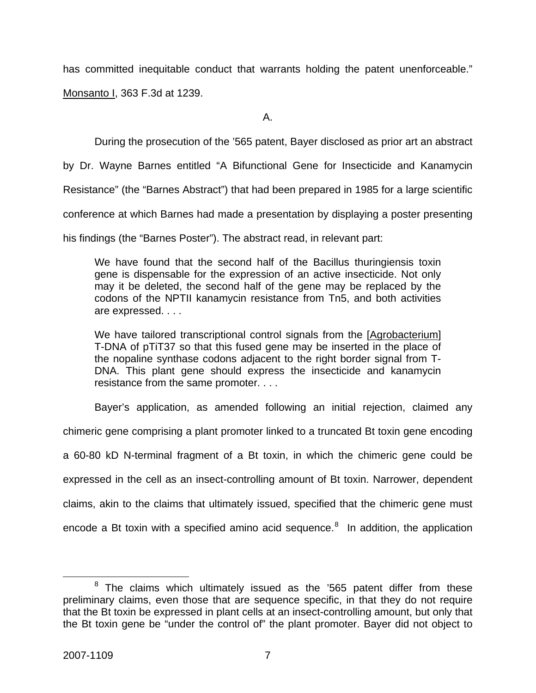has committed inequitable conduct that warrants holding the patent unenforceable."

Monsanto I, 363 F.3d at 1239.

A.

During the prosecution of the '565 patent, Bayer disclosed as prior art an abstract

by Dr. Wayne Barnes entitled "A Bifunctional Gene for Insecticide and Kanamycin

Resistance" (the "Barnes Abstract") that had been prepared in 1985 for a large scientific

conference at which Barnes had made a presentation by displaying a poster presenting

his findings (the "Barnes Poster"). The abstract read, in relevant part:

We have found that the second half of the Bacillus thuringiensis toxin gene is dispensable for the expression of an active insecticide. Not only may it be deleted, the second half of the gene may be replaced by the codons of the NPTII kanamycin resistance from Tn5, and both activities are expressed. . . .

We have tailored transcriptional control signals from the [Agrobacterium] T-DNA of pTiT37 so that this fused gene may be inserted in the place of the nopaline synthase codons adjacent to the right border signal from T-DNA. This plant gene should express the insecticide and kanamycin resistance from the same promoter. . . .

Bayer's application, as amended following an initial rejection, claimed any

chimeric gene comprising a plant promoter linked to a truncated Bt toxin gene encoding

a 60-80 kD N-terminal fragment of a Bt toxin, in which the chimeric gene could be expressed in the cell as an insect-controlling amount of Bt toxin. Narrower, dependent claims, akin to the claims that ultimately issued, specified that the chimeric gene must encode a Bt toxin with a specified amino acid sequence.<sup>[8](#page-7-0)</sup> In addition, the application

<span id="page-7-0"></span> <sup>8</sup>  $8$  The claims which ultimately issued as the '565 patent differ from these preliminary claims, even those that are sequence specific, in that they do not require that the Bt toxin be expressed in plant cells at an insect-controlling amount, but only that the Bt toxin gene be "under the control of" the plant promoter. Bayer did not object to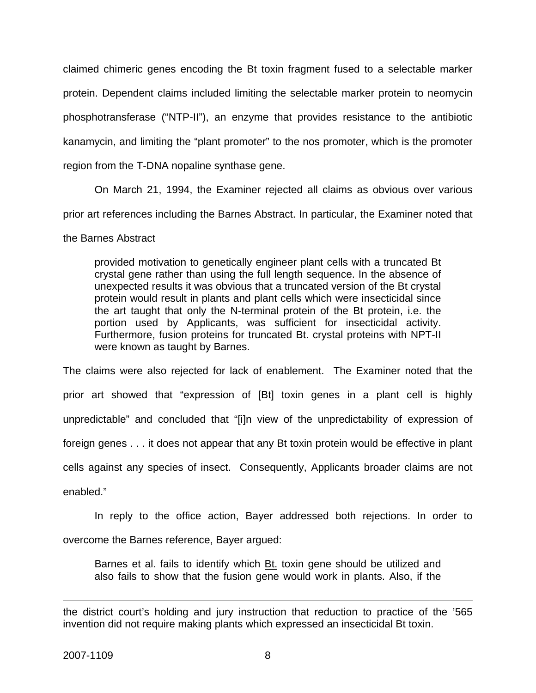claimed chimeric genes encoding the Bt toxin fragment fused to a selectable marker protein. Dependent claims included limiting the selectable marker protein to neomycin phosphotransferase ("NTP-II"), an enzyme that provides resistance to the antibiotic kanamycin, and limiting the "plant promoter" to the nos promoter, which is the promoter region from the T-DNA nopaline synthase gene.

On March 21, 1994, the Examiner rejected all claims as obvious over various prior art references including the Barnes Abstract. In particular, the Examiner noted that

### the Barnes Abstract

provided motivation to genetically engineer plant cells with a truncated Bt crystal gene rather than using the full length sequence. In the absence of unexpected results it was obvious that a truncated version of the Bt crystal protein would result in plants and plant cells which were insecticidal since the art taught that only the N-terminal protein of the Bt protein, i.e. the portion used by Applicants, was sufficient for insecticidal activity. Furthermore, fusion proteins for truncated Bt. crystal proteins with NPT-II were known as taught by Barnes.

The claims were also rejected for lack of enablement. The Examiner noted that the prior art showed that "expression of [Bt] toxin genes in a plant cell is highly unpredictable" and concluded that "[i]n view of the unpredictability of expression of foreign genes . . . it does not appear that any Bt toxin protein would be effective in plant cells against any species of insect. Consequently, Applicants broader claims are not enabled."

In reply to the office action, Bayer addressed both rejections. In order to overcome the Barnes reference, Bayer argued:

Barnes et al. fails to identify which **Bt.** toxin gene should be utilized and also fails to show that the fusion gene would work in plants. Also, if the

 $\overline{a}$ the district court's holding and jury instruction that reduction to practice of the '565 invention did not require making plants which expressed an insecticidal Bt toxin.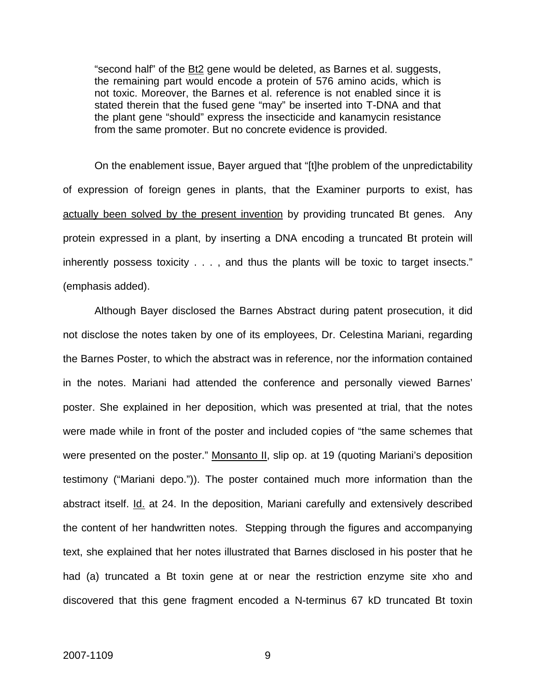"second half" of the Bt2 gene would be deleted, as Barnes et al. suggests, the remaining part would encode a protein of 576 amino acids, which is not toxic. Moreover, the Barnes et al. reference is not enabled since it is stated therein that the fused gene "may" be inserted into T-DNA and that the plant gene "should" express the insecticide and kanamycin resistance from the same promoter. But no concrete evidence is provided.

On the enablement issue, Bayer argued that "[t]he problem of the unpredictability of expression of foreign genes in plants, that the Examiner purports to exist, has actually been solved by the present invention by providing truncated Bt genes. Any protein expressed in a plant, by inserting a DNA encoding a truncated Bt protein will inherently possess toxicity . . . , and thus the plants will be toxic to target insects." (emphasis added).

Although Bayer disclosed the Barnes Abstract during patent prosecution, it did not disclose the notes taken by one of its employees, Dr. Celestina Mariani, regarding the Barnes Poster, to which the abstract was in reference, nor the information contained in the notes. Mariani had attended the conference and personally viewed Barnes' poster. She explained in her deposition, which was presented at trial, that the notes were made while in front of the poster and included copies of "the same schemes that were presented on the poster." Monsanto II, slip op. at 19 (quoting Mariani's deposition testimony ("Mariani depo.")). The poster contained much more information than the abstract itself. Id. at 24. In the deposition, Mariani carefully and extensively described the content of her handwritten notes. Stepping through the figures and accompanying text, she explained that her notes illustrated that Barnes disclosed in his poster that he had (a) truncated a Bt toxin gene at or near the restriction enzyme site xho and discovered that this gene fragment encoded a N-terminus 67 kD truncated Bt toxin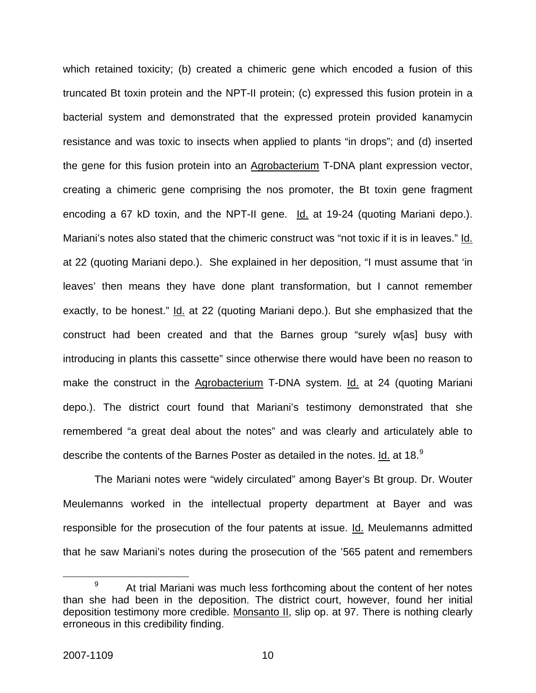which retained toxicity; (b) created a chimeric gene which encoded a fusion of this truncated Bt toxin protein and the NPT-II protein; (c) expressed this fusion protein in a bacterial system and demonstrated that the expressed protein provided kanamycin resistance and was toxic to insects when applied to plants "in drops"; and (d) inserted the gene for this fusion protein into an Agrobacterium T-DNA plant expression vector, creating a chimeric gene comprising the nos promoter, the Bt toxin gene fragment encoding a 67 kD toxin, and the NPT-II gene. Id. at 19-24 (quoting Mariani depo.). Mariani's notes also stated that the chimeric construct was "not toxic if it is in leaves." Id. at 22 (quoting Mariani depo.). She explained in her deposition, "I must assume that 'in leaves' then means they have done plant transformation, but I cannot remember exactly, to be honest." Id. at 22 (quoting Mariani depo.). But she emphasized that the construct had been created and that the Barnes group "surely w[as] busy with introducing in plants this cassette" since otherwise there would have been no reason to make the construct in the Agrobacterium T-DNA system. Id. at 24 (quoting Mariani depo.). The district court found that Mariani's testimony demonstrated that she remembered "a great deal about the notes" and was clearly and articulately able to describe the contents of the Barnes Poster as detailed in the notes.  $\underline{\mathsf{Id}}$  at 18. $^9$  $^9$ 

The Mariani notes were "widely circulated" among Bayer's Bt group. Dr. Wouter Meulemanns worked in the intellectual property department at Bayer and was responsible for the prosecution of the four patents at issue. Id. Meulemanns admitted that he saw Mariani's notes during the prosecution of the '565 patent and remembers

<span id="page-10-0"></span> <sup>9</sup>  $\beta$  At trial Mariani was much less forthcoming about the content of her notes than she had been in the deposition. The district court, however, found her initial deposition testimony more credible. Monsanto II, slip op. at 97. There is nothing clearly erroneous in this credibility finding.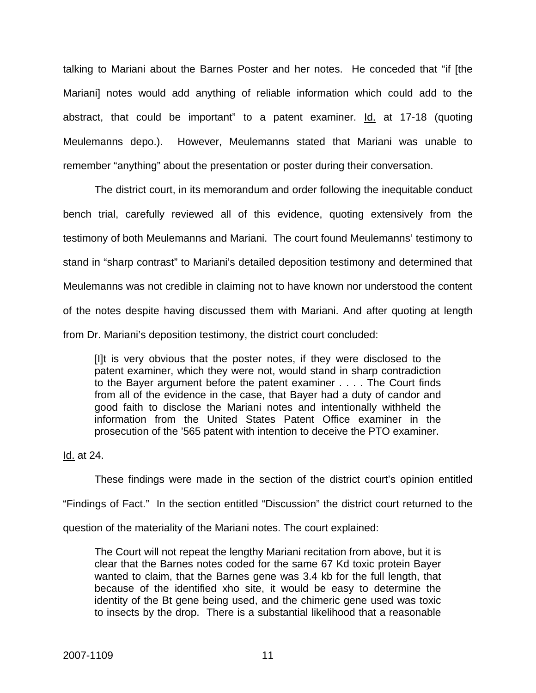talking to Mariani about the Barnes Poster and her notes. He conceded that "if [the Mariani] notes would add anything of reliable information which could add to the abstract, that could be important" to a patent examiner. Id. at 17-18 (quoting Meulemanns depo.). However, Meulemanns stated that Mariani was unable to remember "anything" about the presentation or poster during their conversation.

The district court, in its memorandum and order following the inequitable conduct bench trial, carefully reviewed all of this evidence, quoting extensively from the testimony of both Meulemanns and Mariani. The court found Meulemanns' testimony to stand in "sharp contrast" to Mariani's detailed deposition testimony and determined that Meulemanns was not credible in claiming not to have known nor understood the content of the notes despite having discussed them with Mariani. And after quoting at length from Dr. Mariani's deposition testimony, the district court concluded:

[I]t is very obvious that the poster notes, if they were disclosed to the patent examiner, which they were not, would stand in sharp contradiction to the Bayer argument before the patent examiner . . . . The Court finds from all of the evidence in the case, that Bayer had a duty of candor and good faith to disclose the Mariani notes and intentionally withheld the information from the United States Patent Office examiner in the prosecution of the '565 patent with intention to deceive the PTO examiner.

Id. at 24.

These findings were made in the section of the district court's opinion entitled "Findings of Fact." In the section entitled "Discussion" the district court returned to the question of the materiality of the Mariani notes. The court explained:

The Court will not repeat the lengthy Mariani recitation from above, but it is clear that the Barnes notes coded for the same 67 Kd toxic protein Bayer wanted to claim, that the Barnes gene was 3.4 kb for the full length, that because of the identified xho site, it would be easy to determine the identity of the Bt gene being used, and the chimeric gene used was toxic to insects by the drop. There is a substantial likelihood that a reasonable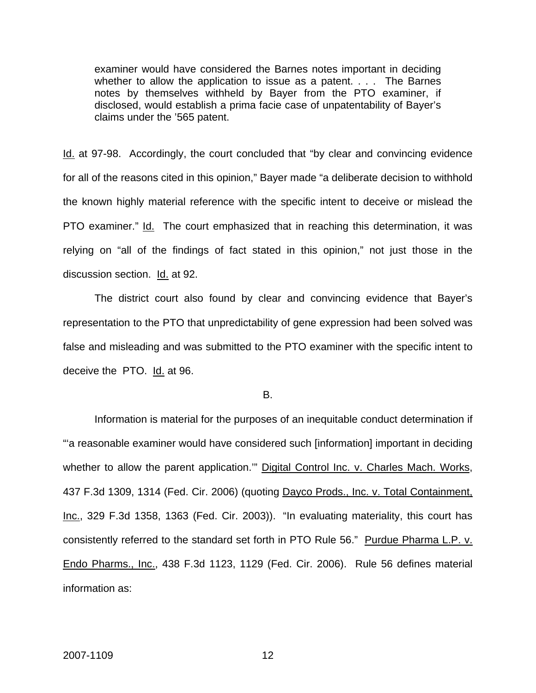examiner would have considered the Barnes notes important in deciding whether to allow the application to issue as a patent. . . . The Barnes notes by themselves withheld by Bayer from the PTO examiner, if disclosed, would establish a prima facie case of unpatentability of Bayer's claims under the '565 patent.

Id. at 97-98. Accordingly, the court concluded that "by clear and convincing evidence for all of the reasons cited in this opinion," Bayer made "a deliberate decision to withhold the known highly material reference with the specific intent to deceive or mislead the PTO examiner." Id. The court emphasized that in reaching this determination, it was relying on "all of the findings of fact stated in this opinion," not just those in the discussion section. Id. at 92.

 The district court also found by clear and convincing evidence that Bayer's representation to the PTO that unpredictability of gene expression had been solved was false and misleading and was submitted to the PTO examiner with the specific intent to deceive the PTO.Id. at 96.

B.

Information is material for the purposes of an inequitable conduct determination if "'a reasonable examiner would have considered such [information] important in deciding whether to allow the parent application."" Digital Control Inc. v. Charles Mach. Works, 437 F.3d 1309, 1314 (Fed. Cir. 2006) (quoting Dayco Prods., Inc. v. Total Containment, Inc., 329 F.3d 1358, 1363 (Fed. Cir. 2003)). "In evaluating materiality, this court has consistently referred to the standard set forth in PTO Rule 56." Purdue Pharma L.P. v. Endo Pharms., Inc., 438 F.3d 1123, 1129 (Fed. Cir. 2006). Rule 56 defines material information as: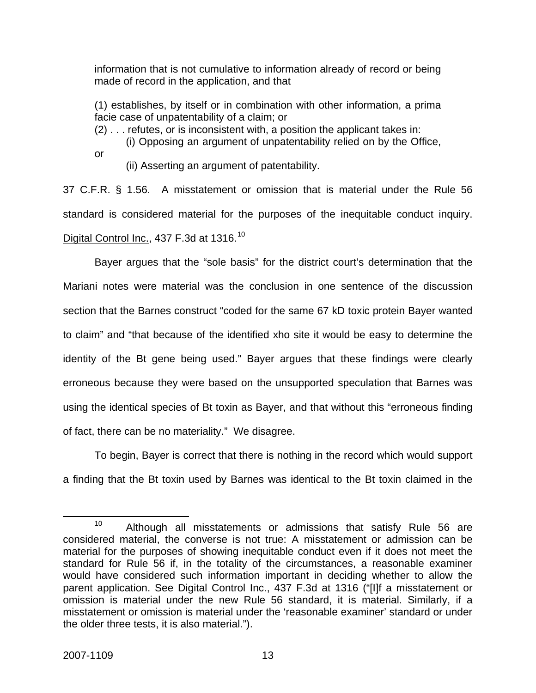information that is not cumulative to information already of record or being made of record in the application, and that

(1) establishes, by itself or in combination with other information, a prima facie case of unpatentability of a claim; or

(2) . . . refutes, or is inconsistent with, a position the applicant takes in:

(i) Opposing an argument of unpatentability relied on by the Office,

or

(ii) Asserting an argument of patentability.

37 C.F.R. § 1.56. A misstatement or omission that is material under the Rule 56 standard is considered material for the purposes of the inequitable conduct inquiry. Digital Control Inc., 437 F.3d at 1316.<sup>[10](#page-13-0)</sup>

 Bayer argues that the "sole basis" for the district court's determination that the Mariani notes were material was the conclusion in one sentence of the discussion section that the Barnes construct "coded for the same 67 kD toxic protein Bayer wanted to claim" and "that because of the identified xho site it would be easy to determine the identity of the Bt gene being used." Bayer argues that these findings were clearly erroneous because they were based on the unsupported speculation that Barnes was using the identical species of Bt toxin as Bayer, and that without this "erroneous finding of fact, there can be no materiality." We disagree.

To begin, Bayer is correct that there is nothing in the record which would support a finding that the Bt toxin used by Barnes was identical to the Bt toxin claimed in the

<span id="page-13-0"></span><sup>&</sup>lt;sup>10</sup> Although all misstatements or admissions that satisfy Rule 56 are considered material, the converse is not true: A misstatement or admission can be material for the purposes of showing inequitable conduct even if it does not meet the standard for Rule 56 if, in the totality of the circumstances, a reasonable examiner would have considered such information important in deciding whether to allow the parent application. See Digital Control Inc., 437 F.3d at 1316 ("[I]f a misstatement or omission is material under the new Rule 56 standard, it is material. Similarly, if a misstatement or omission is material under the 'reasonable examiner' standard or under the older three tests, it is also material.").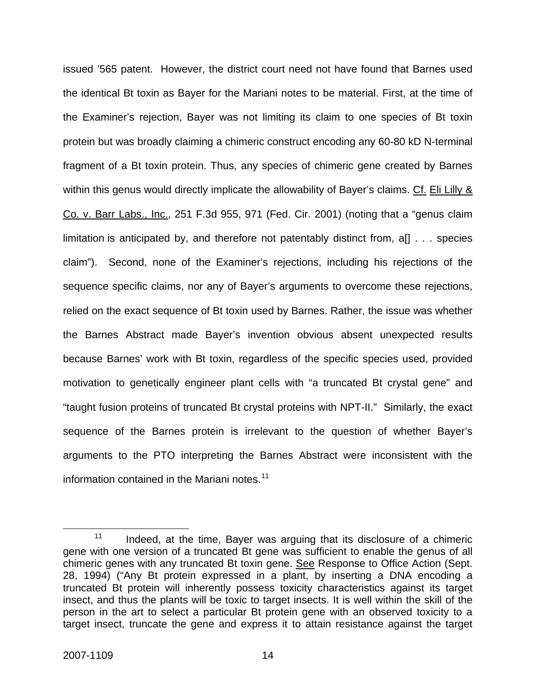issued '565 patent. However, the district court need not have found that Barnes used the identical Bt toxin as Bayer for the Mariani notes to be material. First, at the time of the Examiner's rejection, Bayer was not limiting its claim to one species of Bt toxin protein but was broadly claiming a chimeric construct encoding any 60-80 kD N-terminal fragment of a Bt toxin protein. Thus, any species of chimeric gene created by Barnes within this genus would directly implicate the allowability of Bayer's claims. Cf. Eli Lilly & Co. v. Barr Labs., Inc., 251 F.3d 955, 971 (Fed. Cir. 2001) (noting that a "genus claim limitation is anticipated by, and therefore not patentably distinct from, a[] . . . species claim"). Second, none of the Examiner's rejections, including his rejections of the sequence specific claims, nor any of Bayer's arguments to overcome these rejections, relied on the exact sequence of Bt toxin used by Barnes. Rather, the issue was whether the Barnes Abstract made Bayer's invention obvious absent unexpected results because Barnes' work with Bt toxin, regardless of the specific species used, provided motivation to genetically engineer plant cells with "a truncated Bt crystal gene" and "taught fusion proteins of truncated Bt crystal proteins with NPT-II." Similarly, the exact sequence of the Barnes protein is irrelevant to the question of whether Bayer's arguments to the PTO interpreting the Barnes Abstract were inconsistent with the information contained in the Mariani notes.<sup>[11](#page-14-0)</sup>

<span id="page-14-0"></span> $11$  Indeed, at the time, Bayer was arguing that its disclosure of a chimeric gene with one version of a truncated Bt gene was sufficient to enable the genus of all chimeric genes with any truncated Bt toxin gene. See Response to Office Action (Sept. 28, 1994) ("Any Bt protein expressed in a plant, by inserting a DNA encoding a truncated Bt protein will inherently possess toxicity characteristics against its target insect, and thus the plants will be toxic to target insects. It is well within the skill of the person in the art to select a particular Bt protein gene with an observed toxicity to a target insect, truncate the gene and express it to attain resistance against the target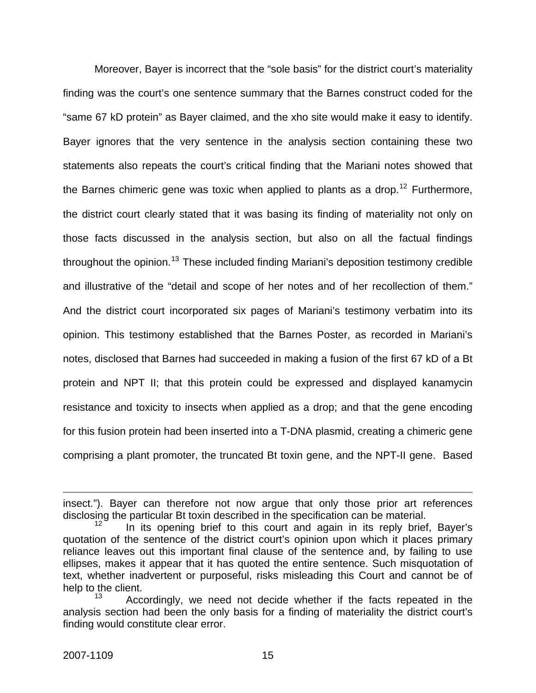Moreover, Bayer is incorrect that the "sole basis" for the district court's materiality finding was the court's one sentence summary that the Barnes construct coded for the "same 67 kD protein" as Bayer claimed, and the xho site would make it easy to identify. Bayer ignores that the very sentence in the analysis section containing these two statements also repeats the court's critical finding that the Mariani notes showed that the Barnes chimeric gene was toxic when applied to plants as a drop.<sup>[12](#page-15-0)</sup> Furthermore, the district court clearly stated that it was basing its finding of materiality not only on those facts discussed in the analysis section, but also on all the factual findings throughout the opinion.<sup>[13](#page-15-1)</sup> These included finding Mariani's deposition testimony credible and illustrative of the "detail and scope of her notes and of her recollection of them." And the district court incorporated six pages of Mariani's testimony verbatim into its opinion. This testimony established that the Barnes Poster, as recorded in Mariani's notes, disclosed that Barnes had succeeded in making a fusion of the first 67 kD of a Bt protein and NPT II; that this protein could be expressed and displayed kanamycin resistance and toxicity to insects when applied as a drop; and that the gene encoding for this fusion protein had been inserted into a T-DNA plasmid, creating a chimeric gene comprising a plant promoter, the truncated Bt toxin gene, and the NPT-II gene. Based

 $\overline{a}$ 

insect."). Bayer can therefore not now argue that only those prior art references disclosing the particular Bt toxin described in the specification can be material.

<span id="page-15-0"></span>In its opening brief to this court and again in its reply brief, Bayer's quotation of the sentence of the district court's opinion upon which it places primary reliance leaves out this important final clause of the sentence and, by failing to use ellipses, makes it appear that it has quoted the entire sentence. Such misquotation of text, whether inadvertent or purposeful, risks misleading this Court and cannot be of help to the client.

<span id="page-15-1"></span>Accordingly, we need not decide whether if the facts repeated in the analysis section had been the only basis for a finding of materiality the district court's finding would constitute clear error.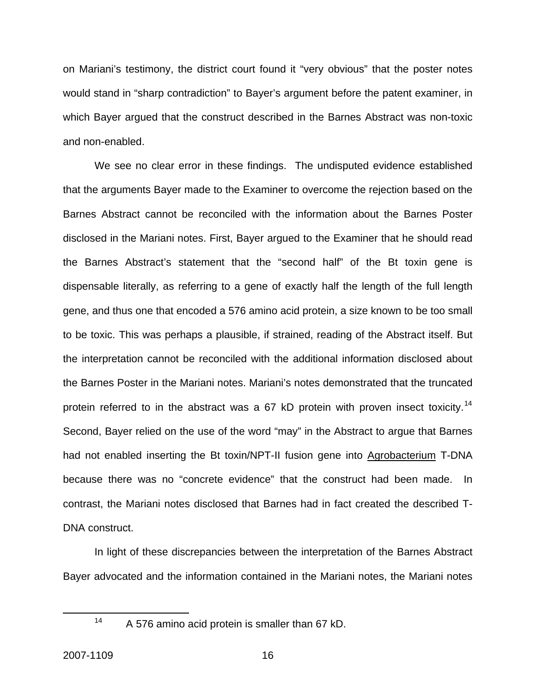on Mariani's testimony, the district court found it "very obvious" that the poster notes would stand in "sharp contradiction" to Bayer's argument before the patent examiner, in which Bayer argued that the construct described in the Barnes Abstract was non-toxic and non-enabled.

 We see no clear error in these findings. The undisputed evidence established that the arguments Bayer made to the Examiner to overcome the rejection based on the Barnes Abstract cannot be reconciled with the information about the Barnes Poster disclosed in the Mariani notes. First, Bayer argued to the Examiner that he should read the Barnes Abstract's statement that the "second half" of the Bt toxin gene is dispensable literally, as referring to a gene of exactly half the length of the full length gene, and thus one that encoded a 576 amino acid protein, a size known to be too small to be toxic. This was perhaps a plausible, if strained, reading of the Abstract itself. But the interpretation cannot be reconciled with the additional information disclosed about the Barnes Poster in the Mariani notes. Mariani's notes demonstrated that the truncated protein referred to in the abstract was a 67 kD protein with proven insect toxicity.<sup>[14](#page-16-0)</sup> Second, Bayer relied on the use of the word "may" in the Abstract to argue that Barnes had not enabled inserting the Bt toxin/NPT-II fusion gene into Agrobacterium T-DNA because there was no "concrete evidence" that the construct had been made. In contrast, the Mariani notes disclosed that Barnes had in fact created the described T-DNA construct.

In light of these discrepancies between the interpretation of the Barnes Abstract Bayer advocated and the information contained in the Mariani notes, the Mariani notes

<span id="page-16-0"></span>

 <sup>14</sup> A 576 amino acid protein is smaller than 67 kD.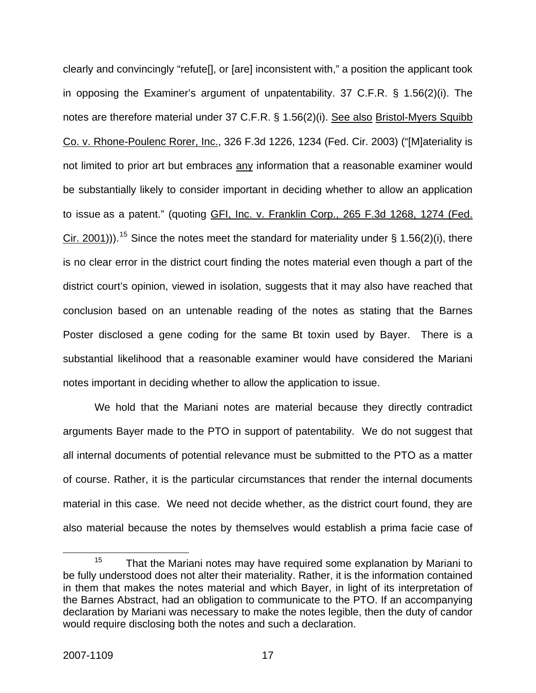clearly and convincingly "refute[], or [are] inconsistent with," a position the applicant took in opposing the Examiner's argument of unpatentability. 37 C.F.R. § 1.56(2)(i). The notes are therefore material under 37 C.F.R. § 1.56(2)(i). See also Bristol-Myers Squibb Co. v. Rhone-Poulenc Rorer, Inc., 326 F.3d 1226, 1234 (Fed. Cir. 2003) ("[M]ateriality is not limited to prior art but embraces any information that a reasonable examiner would be substantially likely to consider important in deciding whether to allow an application to issue as a patent." (quoting GFI, Inc. v. Franklin Corp., 265 F.3d 1268, 1274 (Fed. Cir. 2001)).<sup>[15](#page-17-0)</sup> Since the notes meet the standard for materiality under § 1.56(2)(i), there is no clear error in the district court finding the notes material even though a part of the district court's opinion, viewed in isolation, suggests that it may also have reached that conclusion based on an untenable reading of the notes as stating that the Barnes Poster disclosed a gene coding for the same Bt toxin used by Bayer. There is a substantial likelihood that a reasonable examiner would have considered the Mariani notes important in deciding whether to allow the application to issue.

 We hold that the Mariani notes are material because they directly contradict arguments Bayer made to the PTO in support of patentability. We do not suggest that all internal documents of potential relevance must be submitted to the PTO as a matter of course. Rather, it is the particular circumstances that render the internal documents material in this case. We need not decide whether, as the district court found, they are also material because the notes by themselves would establish a prima facie case of

<span id="page-17-0"></span> $15$  That the Mariani notes may have required some explanation by Mariani to be fully understood does not alter their materiality. Rather, it is the information contained in them that makes the notes material and which Bayer, in light of its interpretation of the Barnes Abstract, had an obligation to communicate to the PTO. If an accompanying declaration by Mariani was necessary to make the notes legible, then the duty of candor would require disclosing both the notes and such a declaration.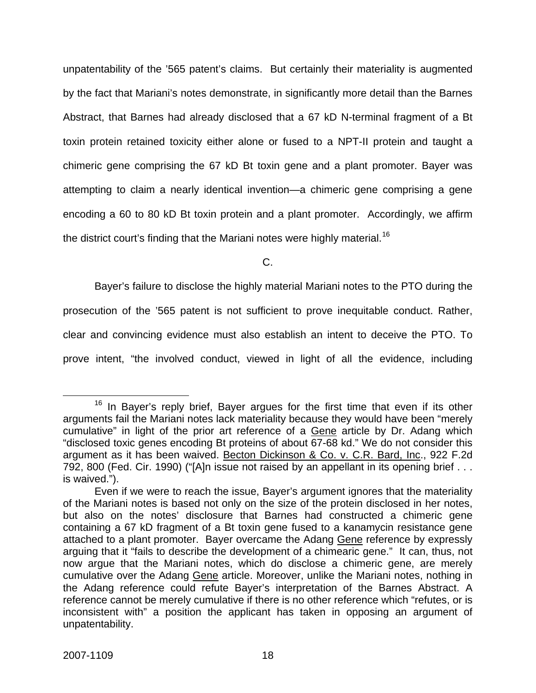unpatentability of the '565 patent's claims. But certainly their materiality is augmented by the fact that Mariani's notes demonstrate, in significantly more detail than the Barnes Abstract, that Barnes had already disclosed that a 67 kD N-terminal fragment of a Bt toxin protein retained toxicity either alone or fused to a NPT-II protein and taught a chimeric gene comprising the 67 kD Bt toxin gene and a plant promoter. Bayer was attempting to claim a nearly identical invention—a chimeric gene comprising a gene encoding a 60 to 80 kD Bt toxin protein and a plant promoter. Accordingly, we affirm the district court's finding that the Mariani notes were highly material.<sup>[16](#page-18-0)</sup>

C.

Bayer's failure to disclose the highly material Mariani notes to the PTO during the

prosecution of the '565 patent is not sufficient to prove inequitable conduct. Rather,

clear and convincing evidence must also establish an intent to deceive the PTO. To

prove intent, "the involved conduct, viewed in light of all the evidence, including

<span id="page-18-0"></span><sup>&</sup>lt;sup>16</sup> In Bayer's reply brief, Bayer argues for the first time that even if its other arguments fail the Mariani notes lack materiality because they would have been "merely cumulative" in light of the prior art reference of a Gene article by Dr. Adang which "disclosed toxic genes encoding Bt proteins of about 67-68 kd." We do not consider this argument as it has been waived. Becton Dickinson & Co. v. C.R. Bard, Inc., 922 F.2d 792, 800 (Fed. Cir. 1990) ("[A]n issue not raised by an appellant in its opening brief . . . is waived.").

Even if we were to reach the issue, Bayer's argument ignores that the materiality of the Mariani notes is based not only on the size of the protein disclosed in her notes, but also on the notes' disclosure that Barnes had constructed a chimeric gene containing a 67 kD fragment of a Bt toxin gene fused to a kanamycin resistance gene attached to a plant promoter. Bayer overcame the Adang Gene reference by expressly arguing that it "fails to describe the development of a chimearic gene." It can, thus, not now argue that the Mariani notes, which do disclose a chimeric gene, are merely cumulative over the Adang Gene article. Moreover, unlike the Mariani notes, nothing in the Adang reference could refute Bayer's interpretation of the Barnes Abstract. A reference cannot be merely cumulative if there is no other reference which "refutes, or is inconsistent with" a position the applicant has taken in opposing an argument of unpatentability.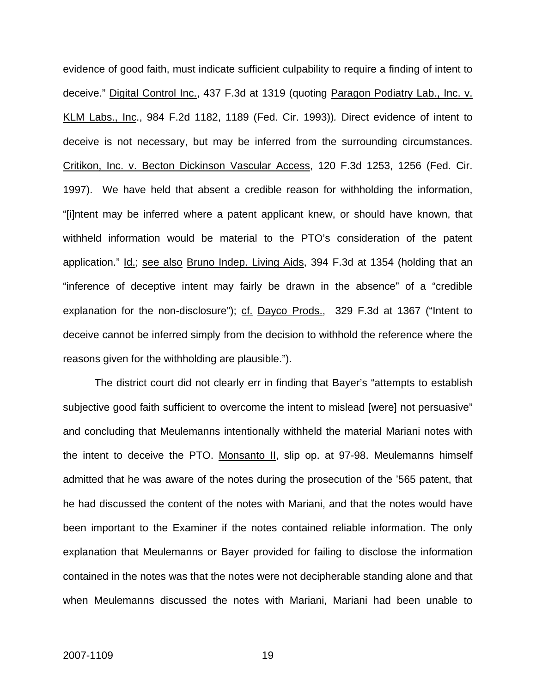evidence of good faith, must indicate sufficient culpability to require a finding of intent to deceive." Digital Control Inc., 437 F.3d at 1319 (quoting Paragon Podiatry Lab., Inc. v. KLM Labs., Inc., 984 F.2d 1182, 1189 (Fed. Cir. 1993))*.* Direct evidence of intent to deceive is not necessary, but may be inferred from the surrounding circumstances. Critikon, Inc. v. Becton Dickinson Vascular Access, 120 F.3d 1253, 1256 (Fed. Cir. 1997). We have held that absent a credible reason for withholding the information, "[i]ntent may be inferred where a patent applicant knew, or should have known, that withheld information would be material to the PTO's consideration of the patent application." Id.; see also Bruno Indep. Living Aids, 394 F.3d at 1354 (holding that an "inference of deceptive intent may fairly be drawn in the absence" of a "credible explanation for the non-disclosure"); cf. Dayco Prods., 329 F.3d at 1367 ("Intent to deceive cannot be inferred simply from the decision to withhold the reference where the reasons given for the withholding are plausible.").

The district court did not clearly err in finding that Bayer's "attempts to establish subjective good faith sufficient to overcome the intent to mislead [were] not persuasive" and concluding that Meulemanns intentionally withheld the material Mariani notes with the intent to deceive the PTO. Monsanto II, slip op. at 97-98. Meulemanns himself admitted that he was aware of the notes during the prosecution of the '565 patent, that he had discussed the content of the notes with Mariani, and that the notes would have been important to the Examiner if the notes contained reliable information. The only explanation that Meulemanns or Bayer provided for failing to disclose the information contained in the notes was that the notes were not decipherable standing alone and that when Meulemanns discussed the notes with Mariani, Mariani had been unable to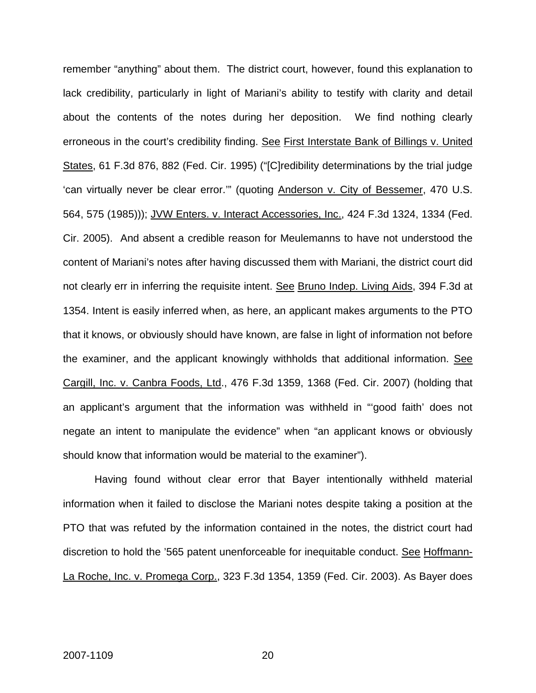remember "anything" about them. The district court, however, found this explanation to lack credibility, particularly in light of Mariani's ability to testify with clarity and detail about the contents of the notes during her deposition. We find nothing clearly erroneous in the court's credibility finding. See First Interstate Bank of Billings v. United States, 61 F.3d 876, 882 (Fed. Cir. 1995) ("[C]redibility determinations by the trial judge 'can virtually never be clear error.'" (quoting Anderson v. City of Bessemer, 470 U.S. 564, 575 (1985))); JVW Enters. v. Interact Accessories, Inc., 424 F.3d 1324, 1334 (Fed. Cir. 2005). And absent a credible reason for Meulemanns to have not understood the content of Mariani's notes after having discussed them with Mariani, the district court did not clearly err in inferring the requisite intent. See Bruno Indep. Living Aids, 394 F.3d at 1354. Intent is easily inferred when, as here, an applicant makes arguments to the PTO that it knows, or obviously should have known, are false in light of information not before the examiner, and the applicant knowingly withholds that additional information. See Cargill, Inc. v. Canbra Foods, Ltd., 476 F.3d 1359, 1368 (Fed. Cir. 2007) (holding that an applicant's argument that the information was withheld in "'good faith' does not negate an intent to manipulate the evidence" when "an applicant knows or obviously should know that information would be material to the examiner").

Having found without clear error that Bayer intentionally withheld material information when it failed to disclose the Mariani notes despite taking a position at the PTO that was refuted by the information contained in the notes, the district court had discretion to hold the '565 patent unenforceable for inequitable conduct. See Hoffmann-La Roche, Inc. v. Promega Corp., 323 F.3d 1354, 1359 (Fed. Cir. 2003). As Bayer does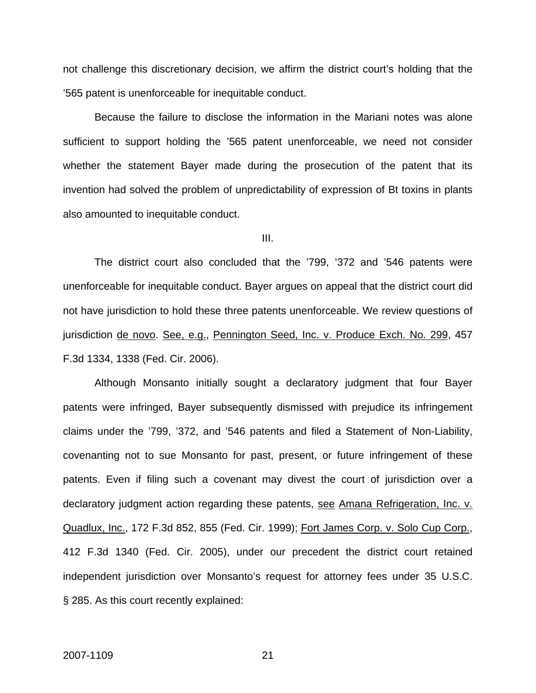not challenge this discretionary decision, we affirm the district court's holding that the '565 patent is unenforceable for inequitable conduct.

Because the failure to disclose the information in the Mariani notes was alone sufficient to support holding the '565 patent unenforceable, we need not consider whether the statement Bayer made during the prosecution of the patent that its invention had solved the problem of unpredictability of expression of Bt toxins in plants also amounted to inequitable conduct.

III.

The district court also concluded that the '799, '372 and '546 patents were unenforceable for inequitable conduct. Bayer argues on appeal that the district court did not have jurisdiction to hold these three patents unenforceable. We review questions of jurisdiction de novo. See, e.g., Pennington Seed, Inc. v. Produce Exch. No. 299, 457 F.3d 1334, 1338 (Fed. Cir. 2006).

Although Monsanto initially sought a declaratory judgment that four Bayer patents were infringed, Bayer subsequently dismissed with prejudice its infringement claims under the '799, '372, and '546 patents and filed a Statement of Non-Liability, covenanting not to sue Monsanto for past, present, or future infringement of these patents. Even if filing such a covenant may divest the court of jurisdiction over a declaratory judgment action regarding these patents, see Amana Refrigeration, Inc. v. Quadlux, Inc., 172 F.3d 852, 855 (Fed. Cir. 1999); Fort James Corp. v. Solo Cup Corp., 412 F.3d 1340 (Fed. Cir. 2005), under our precedent the district court retained independent jurisdiction over Monsanto's request for attorney fees under 35 U.S.C. § 285. As this court recently explained: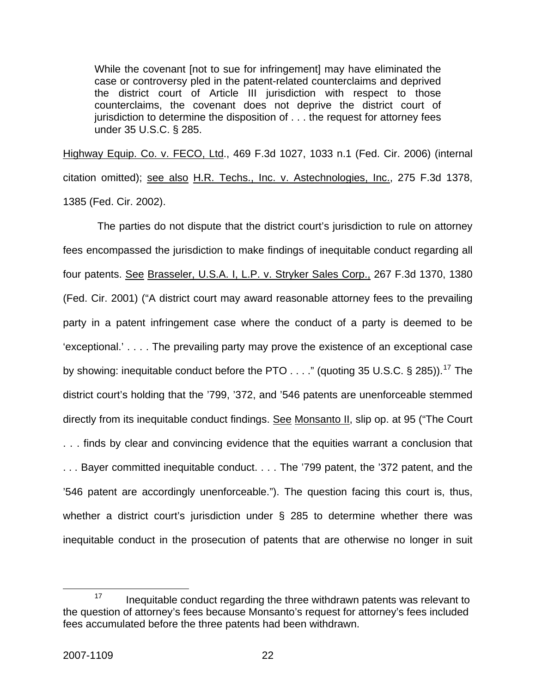While the covenant [not to sue for infringement] may have eliminated the case or controversy pled in the patent-related counterclaims and deprived the district court of Article III jurisdiction with respect to those counterclaims, the covenant does not deprive the district court of jurisdiction to determine the disposition of . . . the request for attorney fees under 35 U.S.C. § 285.

Highway Equip. Co. v. FECO, Ltd., 469 F.3d 1027, 1033 n.1 (Fed. Cir. 2006) (internal citation omitted); see also H.R. Techs., Inc. v. Astechnologies, Inc., 275 F.3d 1378, 1385 (Fed. Cir. 2002).

 The parties do not dispute that the district court's jurisdiction to rule on attorney fees encompassed the jurisdiction to make findings of inequitable conduct regarding all four patents. See Brasseler, U.S.A. I, L.P. v. Stryker Sales Corp., 267 F.3d 1370, 1380 (Fed. Cir. 2001) ("A district court may award reasonable attorney fees to the prevailing party in a patent infringement case where the conduct of a party is deemed to be 'exceptional.' . . . . The prevailing party may prove the existence of an exceptional case by showing: inequitable conduct before the PTO  $\dots$ ." (quoting 35 U.S.C. § 285)).<sup>[17](#page-22-0)</sup> The district court's holding that the '799, '372, and '546 patents are unenforceable stemmed directly from its inequitable conduct findings. See Monsanto II, slip op. at 95 ("The Court . . . finds by clear and convincing evidence that the equities warrant a conclusion that . . . Bayer committed inequitable conduct. . . . The '799 patent, the '372 patent, and the '546 patent are accordingly unenforceable."). The question facing this court is, thus, whether a district court's jurisdiction under § 285 to determine whether there was inequitable conduct in the prosecution of patents that are otherwise no longer in suit

<span id="page-22-0"></span> $17$  Inequitable conduct regarding the three withdrawn patents was relevant to the question of attorney's fees because Monsanto's request for attorney's fees included fees accumulated before the three patents had been withdrawn.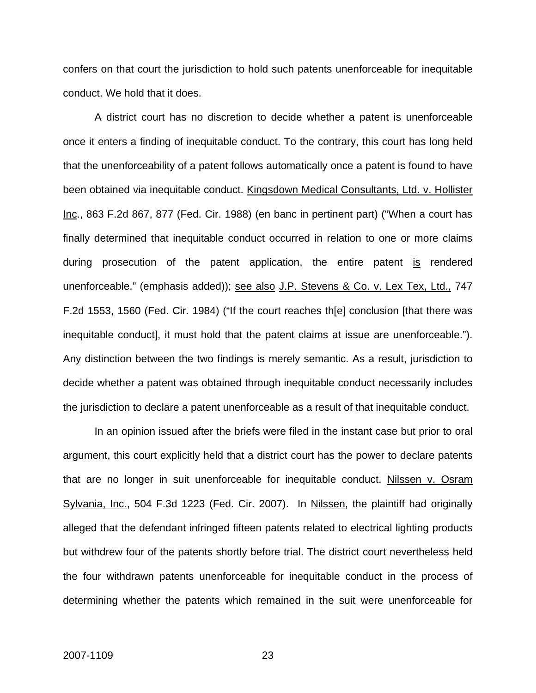confers on that court the jurisdiction to hold such patents unenforceable for inequitable conduct. We hold that it does.

A district court has no discretion to decide whether a patent is unenforceable once it enters a finding of inequitable conduct. To the contrary, this court has long held that the unenforceability of a patent follows automatically once a patent is found to have been obtained via inequitable conduct. Kingsdown Medical Consultants, Ltd. v. Hollister Inc., 863 F.2d 867, 877 (Fed. Cir. 1988) (en banc in pertinent part) ("When a court has finally determined that inequitable conduct occurred in relation to one or more claims during prosecution of the patent application, the entire patent is rendered unenforceable." (emphasis added)); see also J.P. Stevens & Co. v. Lex Tex, Ltd., 747 F.2d 1553, 1560 (Fed. Cir. 1984) ("If the court reaches th[e] conclusion [that there was inequitable conduct], it must hold that the patent claims at issue are unenforceable."). Any distinction between the two findings is merely semantic. As a result, jurisdiction to decide whether a patent was obtained through inequitable conduct necessarily includes the jurisdiction to declare a patent unenforceable as a result of that inequitable conduct.

In an opinion issued after the briefs were filed in the instant case but prior to oral argument, this court explicitly held that a district court has the power to declare patents that are no longer in suit unenforceable for inequitable conduct. Nilssen v. Osram Sylvania, Inc., 504 F.3d 1223 (Fed. Cir. 2007). In Nilssen, the plaintiff had originally alleged that the defendant infringed fifteen patents related to electrical lighting products but withdrew four of the patents shortly before trial. The district court nevertheless held the four withdrawn patents unenforceable for inequitable conduct in the process of determining whether the patents which remained in the suit were unenforceable for